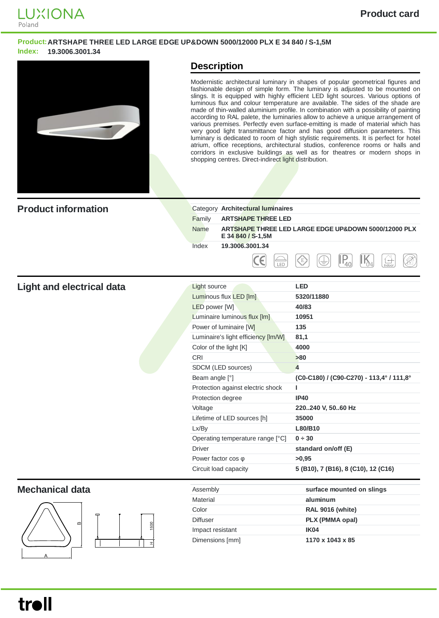

### **Product:ARTSHAPE THREE LED LARGE EDGE UP&DOWN 5000/12000 PLX E 34 840 / S-1,5M Index: 19.3006.3001.34**



## **Description**

Modernistic architectural luminary in shapes of popular geometrical figures and fashionable design of simple form. The luminary is adjusted to be mounted on slings. It is equipped with highly efficient LED light sources. Various options of luminous flux and colour temperature are available. The sides of the shade are made of thin-walled aluminium profile. In combination with a possibility of painting according to RAL palete, the luminaries allow to achieve a unique arrangement of various premises. Perfectly even surface-emitting is made of material which has very good light transmittance factor and has good diffusion parameters. This luminary is dedicated to room of high stylistic requirements. It is perfect for hotel atrium, office receptions, architectural studios, conference rooms or halls and corridors in exclusive buildings as well as for theatres or modern shops in shopping centres. Direct-indirect light distribution.

| <b>Product information</b>       | Category Architectural luminaires   |                                                      |
|----------------------------------|-------------------------------------|------------------------------------------------------|
|                                  | Family<br><b>ARTSHAPE THREE LED</b> |                                                      |
|                                  | Name<br>E 34 840 / S-1,5M           | ARTSHAPE THREE LED LARGE EDGE UP&DOWN 5000/12000 PLX |
|                                  | 19.3006.3001.34<br>Index            |                                                      |
|                                  | Έ<br>LED                            | $P_{40}$<br>ζE)                                      |
| <b>Light and electrical data</b> | <b>Light source</b>                 | <b>LED</b>                                           |
|                                  | Luminous flux LED [lm]              | 5320/11880                                           |
|                                  | LED power [W]                       | 40/83                                                |
|                                  | Luminaire luminous flux [lm]        | 10951                                                |
|                                  | Power of luminaire [W]              | 135                                                  |
|                                  | Luminaire's light efficiency [Im/W] | 81,1                                                 |
|                                  | Color of the light [K]              | 4000                                                 |
|                                  | <b>CRI</b>                          | >80                                                  |
|                                  | SDCM (LED sources)                  | $\overline{4}$                                       |
|                                  | Beam angle [°]                      | (C0-C180) / (C90-C270) - 113,4° / 111,8°             |
|                                  | Protection against electric shock   | L                                                    |
|                                  | Protection degree                   | <b>IP40</b>                                          |
|                                  | Voltage                             | 220240 V, 5060 Hz                                    |
|                                  | Lifetime of LED sources [h]         | 35000                                                |
|                                  | Lx/By                               | L80/B10                                              |
|                                  | Operating temperature range [°C]    | 0 ÷ 30                                               |
|                                  | <b>Driver</b>                       | standard on/off (E)                                  |
|                                  | Power factor $cos \varphi$          | >0,95                                                |
|                                  | Circuit load capacity               | 5 (B10), 7 (B16), 8 (C10), 12 (C16)                  |
| <b>Mechanical data</b>           | Assembly                            | surface mounted on slings                            |
| $\mathbf m$<br>1500<br>ᅬ         | <b>Material</b>                     | aluminum                                             |
|                                  | Color                               | <b>RAL 9016 (white)</b>                              |
|                                  | <b>Diffuser</b>                     | PLX (PMMA opal)                                      |
|                                  | Impact resistant                    | IK04                                                 |
|                                  | Dimensions [mm]                     | 1170 x 1043 x 85                                     |